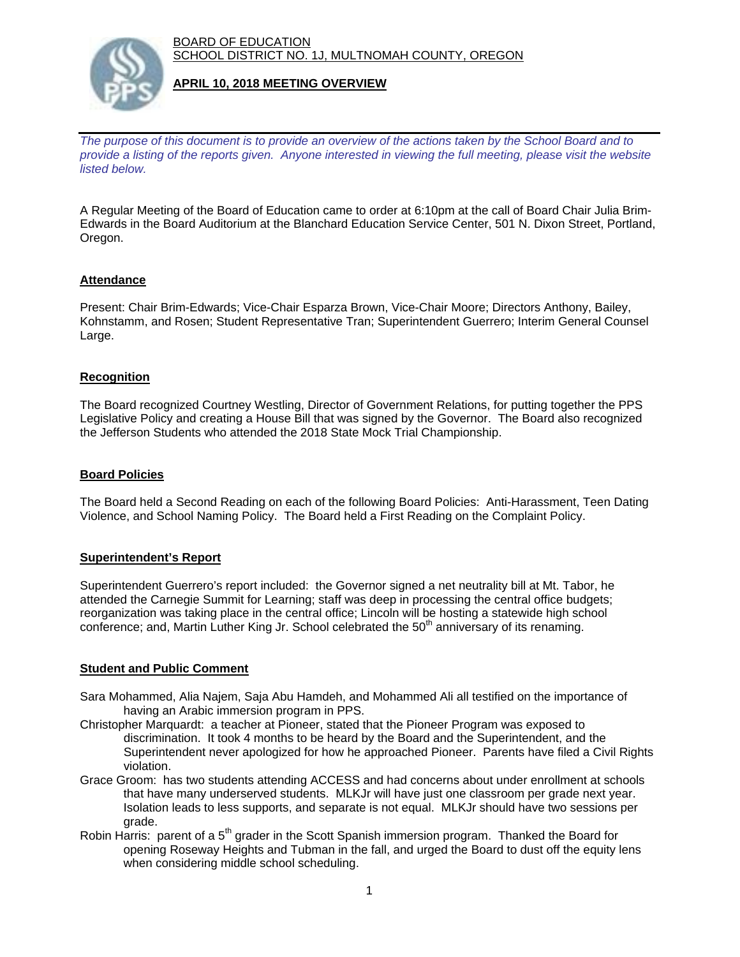BOARD OF EDUCATION SCHOOL DISTRICT NO. 1J, MULTNOMAH COUNTY, OREGON



## **APRIL 10, 2018 MEETING OVERVIEW**

*The purpose of this document is to provide an overview of the actions taken by the School Board and to provide a listing of the reports given. Anyone interested in viewing the full meeting, please visit the website listed below.*

A Regular Meeting of the Board of Education came to order at 6:10pm at the call of Board Chair Julia Brim-Edwards in the Board Auditorium at the Blanchard Education Service Center, 501 N. Dixon Street, Portland, Oregon.

## **Attendance**

Present: Chair Brim-Edwards; Vice-Chair Esparza Brown, Vice-Chair Moore; Directors Anthony, Bailey, Kohnstamm, and Rosen; Student Representative Tran; Superintendent Guerrero; Interim General Counsel Large.

## **Recognition**

The Board recognized Courtney Westling, Director of Government Relations, for putting together the PPS Legislative Policy and creating a House Bill that was signed by the Governor. The Board also recognized the Jefferson Students who attended the 2018 State Mock Trial Championship.

### **Board Policies**

The Board held a Second Reading on each of the following Board Policies: Anti-Harassment, Teen Dating Violence, and School Naming Policy. The Board held a First Reading on the Complaint Policy.

#### **Superintendent's Report**

Superintendent Guerrero's report included: the Governor signed a net neutrality bill at Mt. Tabor, he attended the Carnegie Summit for Learning; staff was deep in processing the central office budgets; reorganization was taking place in the central office; Lincoln will be hosting a statewide high school conference; and, Martin Luther King Jr. School celebrated the 50<sup>th</sup> anniversary of its renaming.

#### **Student and Public Comment**

- Sara Mohammed, Alia Najem, Saja Abu Hamdeh, and Mohammed Ali all testified on the importance of having an Arabic immersion program in PPS.
- Christopher Marquardt: a teacher at Pioneer, stated that the Pioneer Program was exposed to discrimination. It took 4 months to be heard by the Board and the Superintendent, and the Superintendent never apologized for how he approached Pioneer. Parents have filed a Civil Rights violation.
- Grace Groom: has two students attending ACCESS and had concerns about under enrollment at schools that have many underserved students. MLKJr will have just one classroom per grade next year. Isolation leads to less supports, and separate is not equal. MLKJr should have two sessions per grade.
- Robin Harris: parent of a 5<sup>th</sup> grader in the Scott Spanish immersion program. Thanked the Board for opening Roseway Heights and Tubman in the fall, and urged the Board to dust off the equity lens when considering middle school scheduling.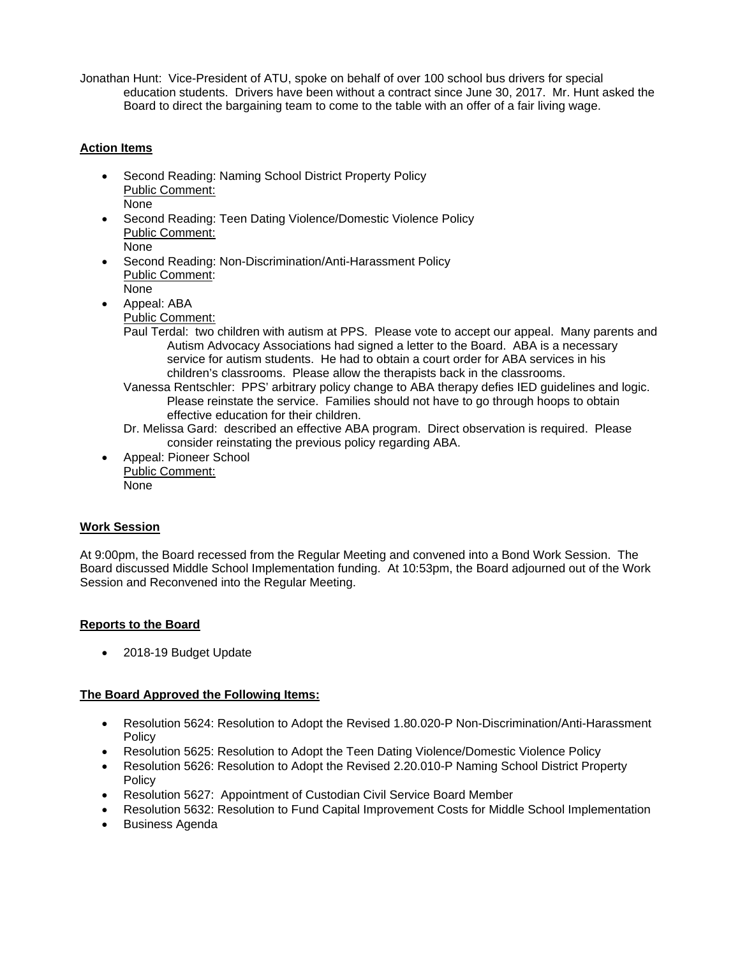Jonathan Hunt: Vice-President of ATU, spoke on behalf of over 100 school bus drivers for special education students. Drivers have been without a contract since June 30, 2017. Mr. Hunt asked the Board to direct the bargaining team to come to the table with an offer of a fair living wage.

# **Action Items**

- Second Reading: Naming School District Property Policy Public Comment: None
- Second Reading: Teen Dating Violence/Domestic Violence Policy Public Comment: None
- Second Reading: Non-Discrimination/Anti-Harassment Policy Public Comment:
	- None

 Appeal: ABA Public Comment:

- Paul Terdal: two children with autism at PPS. Please vote to accept our appeal. Many parents and Autism Advocacy Associations had signed a letter to the Board. ABA is a necessary service for autism students. He had to obtain a court order for ABA services in his children's classrooms. Please allow the therapists back in the classrooms.
- Vanessa Rentschler: PPS' arbitrary policy change to ABA therapy defies IED guidelines and logic. Please reinstate the service. Families should not have to go through hoops to obtain effective education for their children.
- Dr. Melissa Gard: described an effective ABA program. Direct observation is required. Please consider reinstating the previous policy regarding ABA.
- Appeal: Pioneer School Public Comment: None

# **Work Session**

At 9:00pm, the Board recessed from the Regular Meeting and convened into a Bond Work Session. The Board discussed Middle School Implementation funding. At 10:53pm, the Board adjourned out of the Work Session and Reconvened into the Regular Meeting.

# **Reports to the Board**

2018-19 Budget Update

# **The Board Approved the Following Items:**

- Resolution 5624: Resolution to Adopt the Revised 1.80.020-P Non-Discrimination/Anti-Harassment **Policy**
- Resolution 5625: Resolution to Adopt the Teen Dating Violence/Domestic Violence Policy
- Resolution 5626: Resolution to Adopt the Revised 2.20.010-P Naming School District Property Policy
- Resolution 5627: Appointment of Custodian Civil Service Board Member
- Resolution 5632: Resolution to Fund Capital Improvement Costs for Middle School Implementation
- **•** Business Agenda